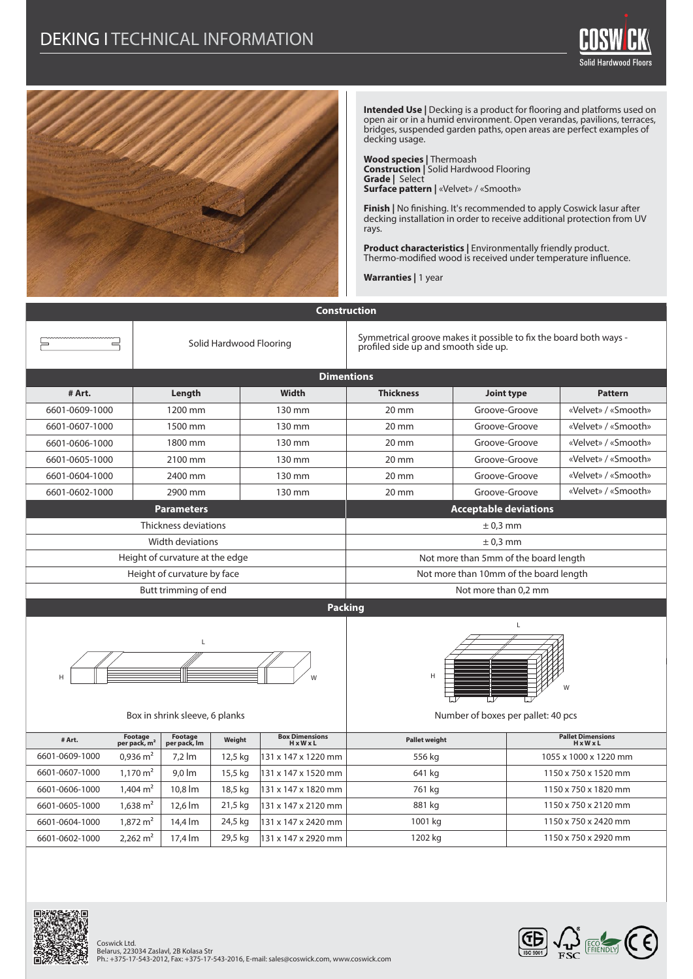

**Intended Use | Decking is a product for flooring and platforms used on** open air or in a humid environment. Open verandas, pavilions, terraces, bridges, suspended garden paths, open areas are perfect examples of decking usage.

Solid Hardwood Floors

**Wood species |** Thermoash **Construction |** Solid Hardwood Flooring **Grade |** Select **Surface pattern |** «Velvet» / «Smooth»

**Finish |** No finishing. It's recommended to apply Coswick lasur after decking installation in order to receive additional protection from UV rays.

**Product characteristics |** Environmentally friendly product. Thermo-modified wood is received under temperature influence.

**Warranties |** 1 year

| <b>Construction</b>                 |                                     |                                 |                         |                                                |                                                                                                           |               |  |                                                   |
|-------------------------------------|-------------------------------------|---------------------------------|-------------------------|------------------------------------------------|-----------------------------------------------------------------------------------------------------------|---------------|--|---------------------------------------------------|
| $=$                                 |                                     |                                 | Solid Hardwood Flooring |                                                | Symmetrical groove makes it possible to fix the board both ways -<br>profiled side up and smooth side up. |               |  |                                                   |
| <b>Dimentions</b>                   |                                     |                                 |                         |                                                |                                                                                                           |               |  |                                                   |
| # Art.                              |                                     | Length                          |                         | <b>Width</b>                                   | <b>Thickness</b>                                                                                          | Joint type    |  | <b>Pattern</b>                                    |
| 6601-0609-1000                      |                                     | 1200 mm                         |                         | 130 mm                                         | 20 mm                                                                                                     | Groove-Groove |  | «Velvet» / «Smooth»                               |
| 6601-0607-1000                      | 1500 mm                             |                                 |                         | 130 mm                                         | 20 mm                                                                                                     | Groove-Groove |  | «Velvet» / «Smooth»                               |
| 6601-0606-1000                      |                                     | 1800 mm                         |                         | 130 mm                                         | 20 mm                                                                                                     | Groove-Groove |  | «Velvet» / «Smooth»                               |
| 6601-0605-1000                      |                                     | 2100 mm                         |                         | 130 mm                                         | 20 mm                                                                                                     | Groove-Groove |  | «Velvet» / «Smooth»                               |
| 6601-0604-1000                      |                                     | 2400 mm                         |                         | 130 mm                                         | 20 mm                                                                                                     | Groove-Groove |  | «Velvet» / «Smooth»                               |
| 6601-0602-1000                      |                                     | 2900 mm                         |                         | 130 mm                                         | 20 mm                                                                                                     | Groove-Groove |  | «Velvet» / «Smooth»                               |
| <b>Parameters</b>                   |                                     |                                 |                         |                                                | <b>Acceptable deviations</b>                                                                              |               |  |                                                   |
|                                     |                                     | Thickness deviations            |                         |                                                | $± 0.3$ mm                                                                                                |               |  |                                                   |
|                                     |                                     | Width deviations                |                         |                                                | $± 0.3$ mm                                                                                                |               |  |                                                   |
|                                     |                                     | Height of curvature at the edge |                         |                                                | Not more than 5mm of the board length                                                                     |               |  |                                                   |
| Height of curvature by face         |                                     |                                 |                         |                                                | Not more than 10mm of the board length                                                                    |               |  |                                                   |
|                                     |                                     | Butt trimming of end            |                         |                                                | Not more than 0,2 mm                                                                                      |               |  |                                                   |
|                                     |                                     |                                 |                         | <b>Packing</b>                                 |                                                                                                           |               |  |                                                   |
| Г<br>Box in shrink sleeve, 6 planks |                                     |                                 |                         |                                                | L<br>H<br>Number of boxes per pallet: 40 pcs                                                              |               |  |                                                   |
| # Art.                              | Footage<br>per pack, m <sup>2</sup> | Footage<br>per pack, Im         | Weight                  | <b>Box Dimensions</b><br>$H \times W \times L$ | <b>Pallet weight</b>                                                                                      |               |  | <b>Pallet Dimensions</b><br>$H \times W \times L$ |
| 6601-0609-1000                      | $0,936 \text{ m}^2$                 | $7.2 \, \text{Im}$              | 12,5 kg                 | 131 x 147 x 1220 mm                            | 556 kg                                                                                                    |               |  | 1055 x 1000 x 1220 mm                             |
| 6601-0607-1000                      | $1,170 \text{ m}^2$                 | $9,0 \text{ Im}$                | 15,5 kg                 | 131 x 147 x 1520 mm                            | 641 kg                                                                                                    |               |  | 1150 x 750 x 1520 mm                              |
| 6601-0606-1000                      | $1,404 \text{ m}^2$                 | 10,8 lm                         | 18,5 kg                 | 131 x 147 x 1820 mm                            | 761 kg                                                                                                    |               |  | 1150 x 750 x 1820 mm                              |
| 6601-0605-1000                      | $1,638 \text{ m}^2$                 | 12,6 lm                         | 21,5 kg                 | 131 x 147 x 2120 mm                            | 881 kg                                                                                                    |               |  | 1150 x 750 x 2120 mm                              |
| 6601-0604-1000                      | $1,872 \text{ m}^2$                 | 14,4 lm                         | 24,5 kg                 | 131 x 147 x 2420 mm                            | 1001 kg                                                                                                   |               |  | 1150 x 750 x 2420 mm                              |
| 6601-0602-1000                      | 2,262 $m2$                          | 17,4 lm                         | 29,5 kg                 | 131 x 147 x 2920 mm                            | 1202 kg                                                                                                   |               |  | 1150 x 750 x 2920 mm                              |